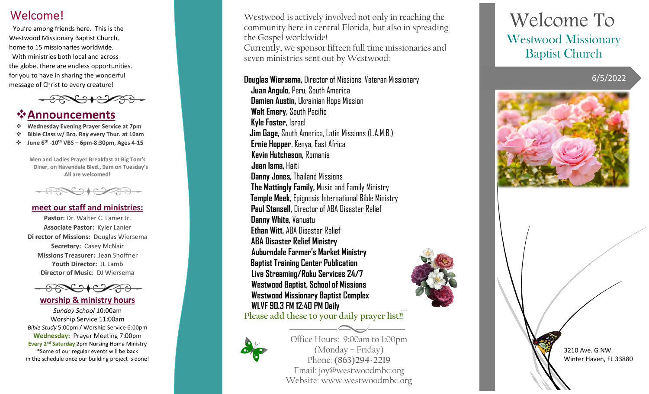## Welcome!

You're among friends here. This is the Westwood Missionary Baptist Church, home to 15 missionaries worldwide. With ministries both local and across the globe, there are endless opportunities. for you to have in sharing the wonderful message of Christ to every creature!



# **☆Announcements**

- Wednesday Evening Prayer Service at 7pm
- Bible Class w/ Bro. Ray every Thur. at 10am
- June  $6^{th}$  -10<sup>th</sup> VBS 6pm-8:30pm, Ages 4-15

Men and Ladies Prayer Breakfast at Big Tom's Diner, on Havendale Blvd., 9am on Tuesday's All are welcomed!



## meet our staff and ministries:

Pastor: Dr. Walter C. Lanier Jr. Associate Pastor: Kyler Lanier Di rector of Missions: Douglas Wiersema Secretary: Casey McNair Missions Treasurer: Jean Shoffner Youth Director: JL Lamb Director of Music: DJ Wiersema



## worship & ministry hours

Sunday School 10:00am Worship Service 11:00am Bible Study 5:00pm / Worship Service 6:00pm **Wednesday: Prayer Meeting 7:00pm** Every 2<sup>nd</sup> Saturday 2pm Nursing Home Ministry \*Some of our regular events will be back in the schedule once our building project is done!

Westwood is actively involved not only in reaching the community here in central Florida, but also in spreading the Gospel worldwide! Currently, we sponsor fifteen full time missionaries and seven ministries sent out by Westwood:

**Douglas Wiersema,** Director of Missions, Veteran Missionary

 **Juan Angulo,** Peru, South America **Damien Austin,** Ukrainian Hope Mission **Walt Emery,** South Pacific **Kyle Foster,** Israel  **Jim Gage,** South America, Latin Missions (L.A.M.B.) **Ernie Hopper**, Kenya, East Africa  **Kevin Hutcheson,** Romania  **Jean Isma,** Haiti **Danny Jones,** Thailand Missions **The Mattingly Family,** Music and Family Ministry **Temple Meek,** Epignosis International Bible Ministry **Paul Stansell,** Director of ABA Disaster Relief **Danny White,** Vanuatu **Ethan Witt,** ABA Disaster Relief **ABA Disaster Relief Ministry Auburndale Farmer's Market Ministry Baptist Training Center Publication Live Streaming/Roku Services 24/7 Westwood Baptist, School of Missions Westwood Missionary Baptist Complex WLVF 90.3 FM 12:40 PM Daily Please add these to your daily prayer list!!**



Office Hours: 9:00am to 1:00pm (Monday – Friday) Phone: **(863)294-2219** Email: [joy@westwoodmbc.org](mailto:joy@westwoodmbc.org) Website: www.westwoodmbc.org

# Welcome To Westwood Missionary Baptist Church

6/5/2022





3210 Ave. G NW Winter Haven, FL 33880